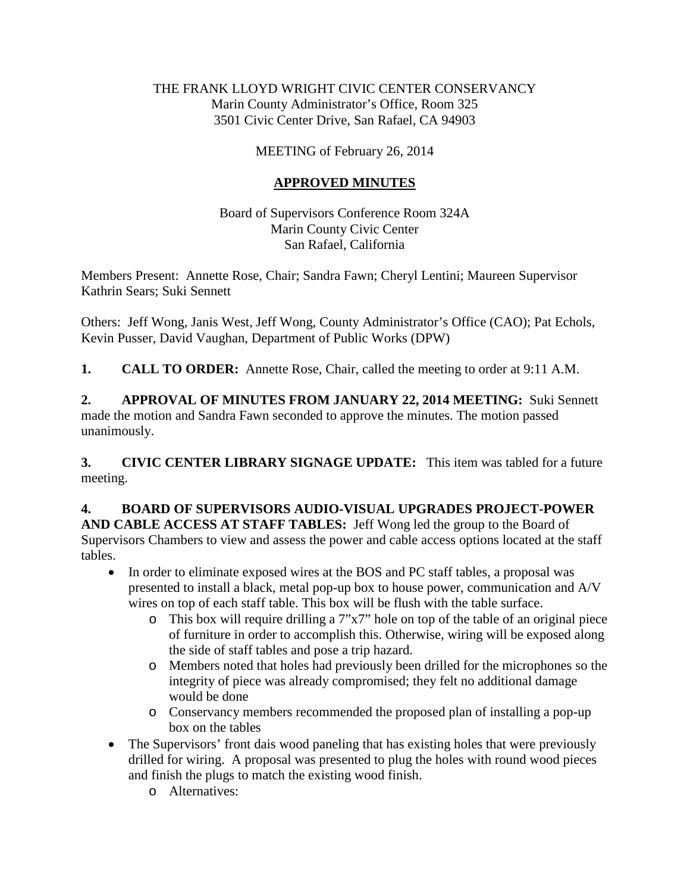#### THE FRANK LLOYD WRIGHT CIVIC CENTER CONSERVANCY Marin County Administrator's Office, Room 325 3501 Civic Center Drive, San Rafael, CA 94903

### MEETING of February 26, 2014

### **APPROVED MINUTES**

Board of Supervisors Conference Room 324A Marin County Civic Center San Rafael, California

Members Present: Annette Rose, Chair; Sandra Fawn; Cheryl Lentini; Maureen Supervisor Kathrin Sears; Suki Sennett

Others: Jeff Wong, Janis West, Jeff Wong, County Administrator's Office (CAO); Pat Echols, Kevin Pusser, David Vaughan, Department of Public Works (DPW)

**1. CALL TO ORDER:** Annette Rose, Chair, called the meeting to order at 9:11 A.M.

**2. APPROVAL OF MINUTES FROM JANUARY 22, 2014 MEETING:** Suki Sennett made the motion and Sandra Fawn seconded to approve the minutes. The motion passed unanimously.

**3. CIVIC CENTER LIBRARY SIGNAGE UPDATE:** This item was tabled for a future meeting.

# **4. BOARD OF SUPERVISORS AUDIO-VISUAL UPGRADES PROJECT-POWER**

**AND CABLE ACCESS AT STAFF TABLES:** Jeff Wong led the group to the Board of Supervisors Chambers to view and assess the power and cable access options located at the staff tables.

- In order to eliminate exposed wires at the BOS and PC staff tables, a proposal was presented to install a black, metal pop-up box to house power, communication and A/V wires on top of each staff table. This box will be flush with the table surface.
	- o This box will require drilling a 7"x7" hole on top of the table of an original piece of furniture in order to accomplish this. Otherwise, wiring will be exposed along the side of staff tables and pose a trip hazard.
	- o Members noted that holes had previously been drilled for the microphones so the integrity of piece was already compromised; they felt no additional damage would be done
	- o Conservancy members recommended the proposed plan of installing a pop-up box on the tables
- The Supervisors' front dais wood paneling that has existing holes that were previously drilled for wiring. A proposal was presented to plug the holes with round wood pieces and finish the plugs to match the existing wood finish.
	- o Alternatives: